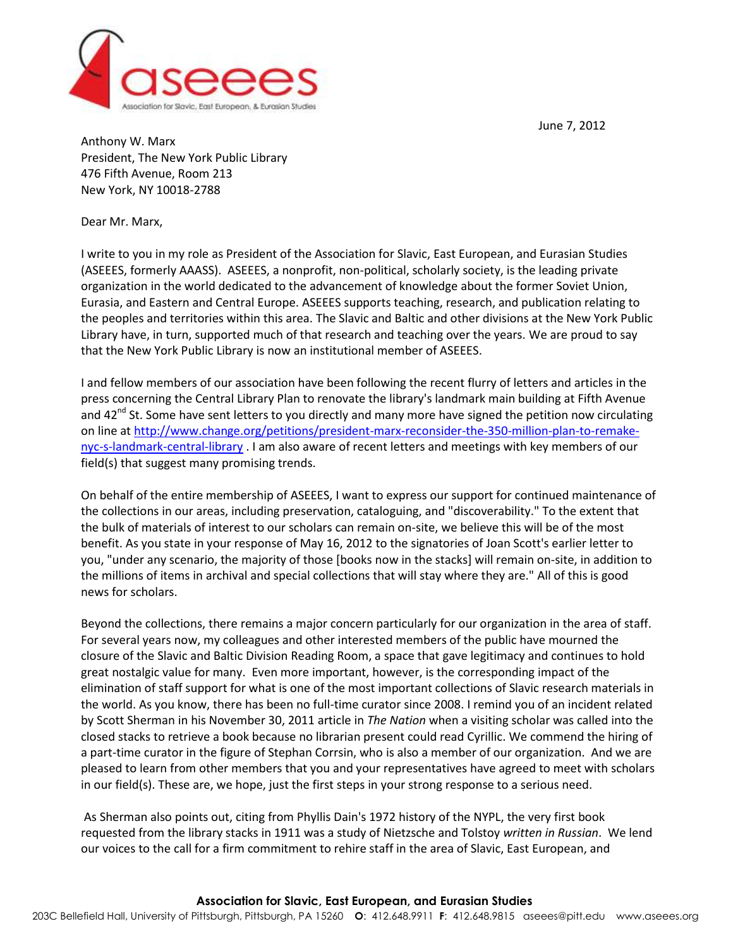June 7, 2012



Anthony W. Marx President, The New York Public Library 476 Fifth Avenue, Room 213 New York, NY 10018-2788

Dear Mr. Marx,

I write to you in my role as President of the Association for Slavic, East European, and Eurasian Studies (ASEEES, formerly AAASS). ASEEES, a nonprofit, non-political, scholarly society, is the leading private organization in the world dedicated to the advancement of knowledge about the former Soviet Union, Eurasia, and Eastern and Central Europe. ASEEES supports teaching, research, and publication relating to the peoples and territories within this area. The Slavic and Baltic and other divisions at the New York Public Library have, in turn, supported much of that research and teaching over the years. We are proud to say that the New York Public Library is now an institutional member of ASEEES.

I and fellow members of our association have been following the recent flurry of letters and articles in the press concerning the Central Library Plan to renovate the library's landmark main building at Fifth Avenue and 42<sup>nd</sup> St. Some have sent letters to you directly and many more have signed the petition now circulating on line at [http://www.change.org/petitions/president-marx-reconsider-the-350-million-plan-to-remake](http://www.change.org/petitions/president-marx-reconsider-the-350-million-plan-to-remake-nyc-s-landmark-central-library)[nyc-s-landmark-central-library](http://www.change.org/petitions/president-marx-reconsider-the-350-million-plan-to-remake-nyc-s-landmark-central-library) . I am also aware of recent letters and meetings with key members of our field(s) that suggest many promising trends.

On behalf of the entire membership of ASEEES, I want to express our support for continued maintenance of the collections in our areas, including preservation, cataloguing, and "discoverability." To the extent that the bulk of materials of interest to our scholars can remain on-site, we believe this will be of the most benefit. As you state in your response of May 16, 2012 to the signatories of Joan Scott's earlier letter to you, "under any scenario, the majority of those [books now in the stacks] will remain on-site, in addition to the millions of items in archival and special collections that will stay where they are." All of this is good news for scholars.

Beyond the collections, there remains a major concern particularly for our organization in the area of staff. For several years now, my colleagues and other interested members of the public have mourned the closure of the Slavic and Baltic Division Reading Room, a space that gave legitimacy and continues to hold great nostalgic value for many. Even more important, however, is the corresponding impact of the elimination of staff support for what is one of the most important collections of Slavic research materials in the world. As you know, there has been no full-time curator since 2008. I remind you of an incident related by Scott Sherman in his November 30, 2011 article in *The Nation* when a visiting scholar was called into the closed stacks to retrieve a book because no librarian present could read Cyrillic. We commend the hiring of a part-time curator in the figure of Stephan Corrsin, who is also a member of our organization. And we are pleased to learn from other members that you and your representatives have agreed to meet with scholars in our field(s). These are, we hope, just the first steps in your strong response to a serious need.

As Sherman also points out, citing from Phyllis Dain's 1972 history of the NYPL, the very first book requested from the library stacks in 1911 was a study of Nietzsche and Tolstoy *written in Russian*. We lend our voices to the call for a firm commitment to rehire staff in the area of Slavic, East European, and